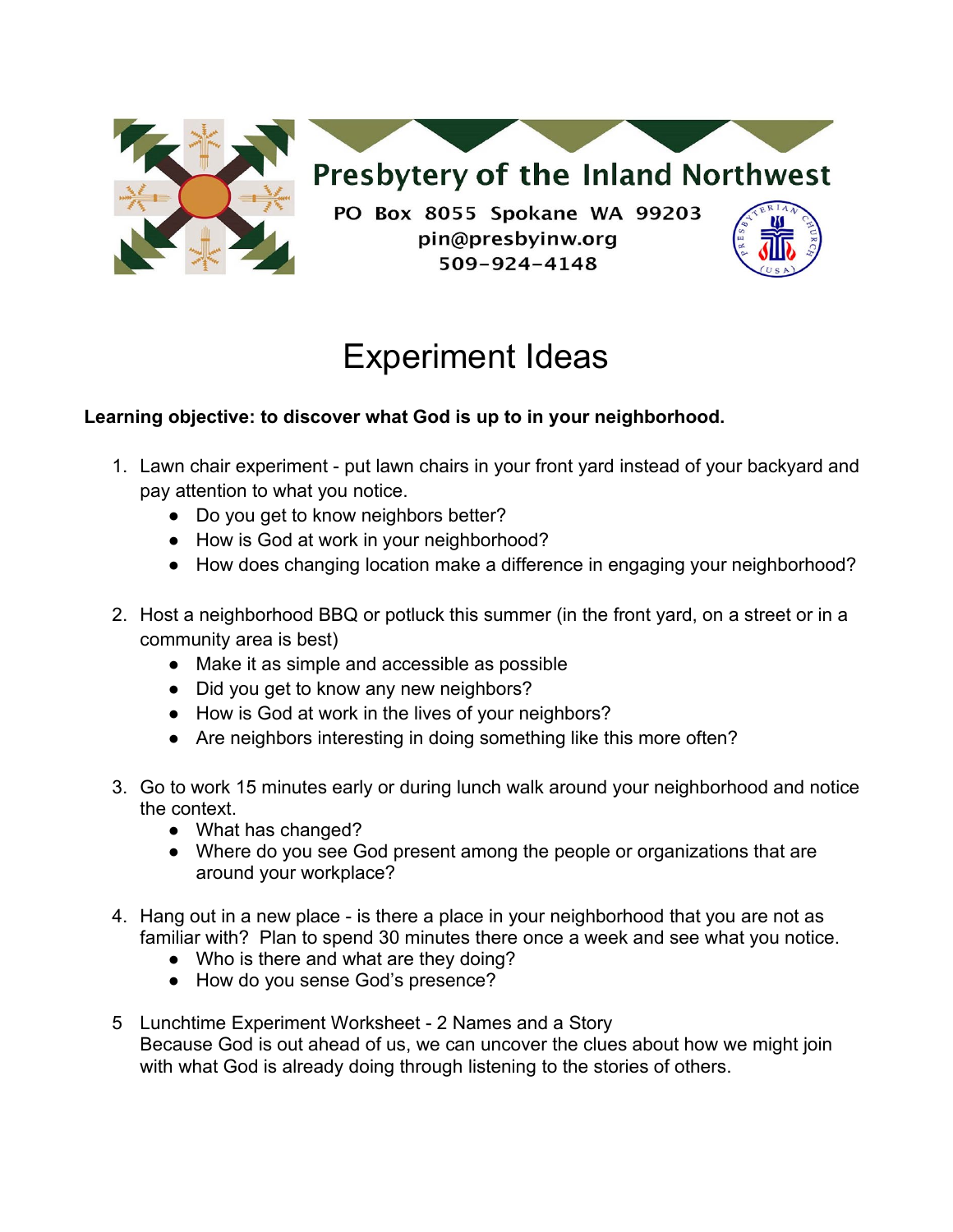

# Experiment Ideas

# **Learning objective: to discover what God is up to in your neighborhood.**

- 1. Lawn chair experiment put lawn chairs in your front yard instead of your backyard and pay attention to what you notice.
	- Do you get to know neighbors better?
	- How is God at work in your neighborhood?
	- How does changing location make a difference in engaging your neighborhood?
- 2. Host a neighborhood BBQ or potluck this summer (in the front yard, on a street or in a community area is best)
	- Make it as simple and accessible as possible
	- Did you get to know any new neighbors?
	- How is God at work in the lives of your neighbors?
	- Are neighbors interesting in doing something like this more often?
- 3. Go to work 15 minutes early or during lunch walk around your neighborhood and notice the context.
	- What has changed?
	- Where do you see God present among the people or organizations that are around your workplace?
- 4. Hang out in a new place is there a place in your neighborhood that you are not as familiar with? Plan to spend 30 minutes there once a week and see what you notice.
	- Who is there and what are they doing?
	- How do you sense God's presence?
- 5 Lunchtime Experiment Worksheet 2 Names and a Story Because God is out ahead of us, we can uncover the clues about how we might join with what God is already doing through listening to the stories of others.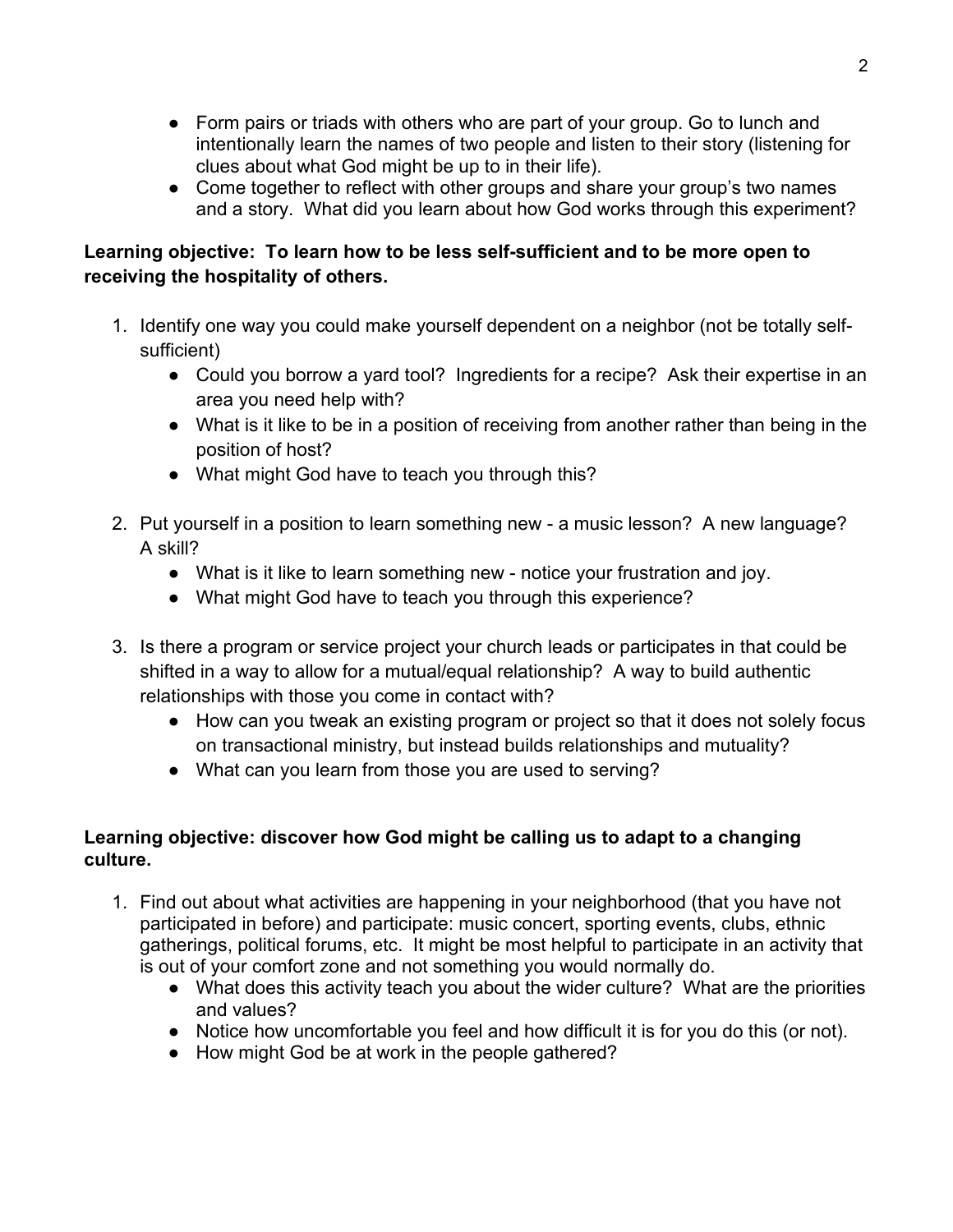- Form pairs or triads with others who are part of your group. Go to lunch and intentionally learn the names of two people and listen to their story (listening for clues about what God might be up to in their life).
- Come together to reflect with other groups and share your group's two names and a story. What did you learn about how God works through this experiment?

# **Learning objective: To learn how to be less self-sufficient and to be more open to receiving the hospitality of others.**

- 1. Identify one way you could make yourself dependent on a neighbor (not be totally selfsufficient)
	- Could you borrow a yard tool? Ingredients for a recipe? Ask their expertise in an area you need help with?
	- What is it like to be in a position of receiving from another rather than being in the position of host?
	- What might God have to teach you through this?
- 2. Put yourself in a position to learn something new a music lesson? A new language? A skill?
	- What is it like to learn something new notice your frustration and joy.
	- What might God have to teach you through this experience?
- 3. Is there a program or service project your church leads or participates in that could be shifted in a way to allow for a mutual/equal relationship? A way to build authentic relationships with those you come in contact with?
	- How can you tweak an existing program or project so that it does not solely focus on transactional ministry, but instead builds relationships and mutuality?
	- What can you learn from those you are used to serving?

# **Learning objective: discover how God might be calling us to adapt to a changing culture.**

- 1. Find out about what activities are happening in your neighborhood (that you have not participated in before) and participate: music concert, sporting events, clubs, ethnic gatherings, political forums, etc. It might be most helpful to participate in an activity that is out of your comfort zone and not something you would normally do.
	- What does this activity teach you about the wider culture? What are the priorities and values?
	- Notice how uncomfortable you feel and how difficult it is for you do this (or not).
	- How might God be at work in the people gathered?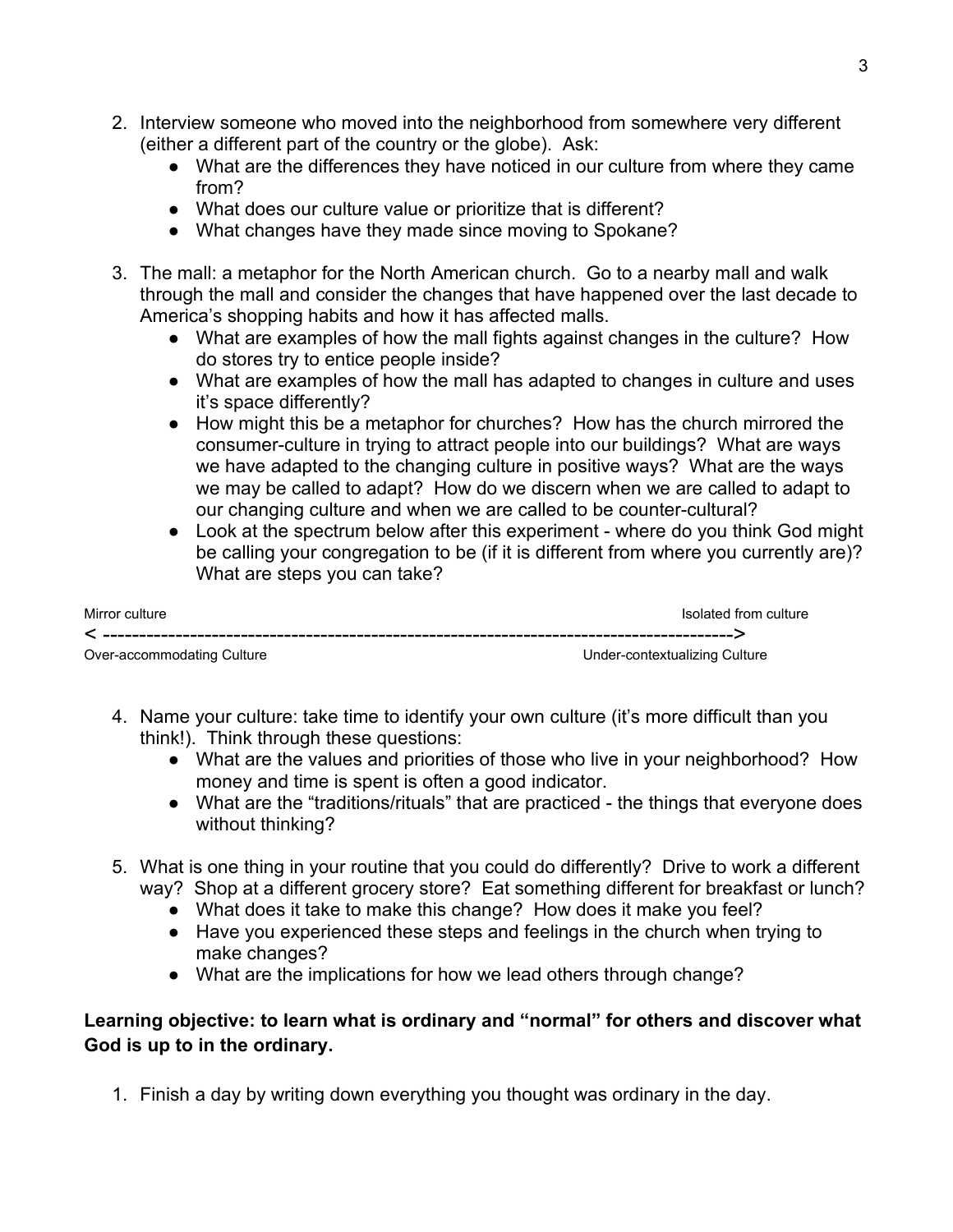- 2. Interview someone who moved into the neighborhood from somewhere very different (either a different part of the country or the globe). Ask:
	- What are the differences they have noticed in our culture from where they came from?
	- What does our culture value or prioritize that is different?
	- What changes have they made since moving to Spokane?
- 3. The mall: a metaphor for the North American church. Go to a nearby mall and walk through the mall and consider the changes that have happened over the last decade to America's shopping habits and how it has affected malls.
	- What are examples of how the mall fights against changes in the culture? How do stores try to entice people inside?
	- What are examples of how the mall has adapted to changes in culture and uses it's space differently?
	- How might this be a metaphor for churches? How has the church mirrored the consumer-culture in trying to attract people into our buildings? What are ways we have adapted to the changing culture in positive ways? What are the ways we may be called to adapt? How do we discern when we are called to adapt to our changing culture and when we are called to be counter-cultural?
	- Look at the spectrum below after this experiment where do you think God might be calling your congregation to be (if it is different from where you currently are)? What are steps you can take?

| Mirror culture             | Isolated from culture         |
|----------------------------|-------------------------------|
|                            |                               |
| Over-accommodating Culture | Under-contextualizing Culture |

- 4. Name your culture: take time to identify your own culture (it's more difficult than you think!). Think through these questions:
	- What are the values and priorities of those who live in your neighborhood? How money and time is spent is often a good indicator.
	- What are the "traditions/rituals" that are practiced the things that everyone does without thinking?
- 5. What is one thing in your routine that you could do differently? Drive to work a different way? Shop at a different grocery store? Eat something different for breakfast or lunch?
	- What does it take to make this change? How does it make you feel?
	- Have you experienced these steps and feelings in the church when trying to make changes?
	- What are the implications for how we lead others through change?

# **Learning objective: to learn what is ordinary and "normal" for others and discover what God is up to in the ordinary.**

1. Finish a day by writing down everything you thought was ordinary in the day.